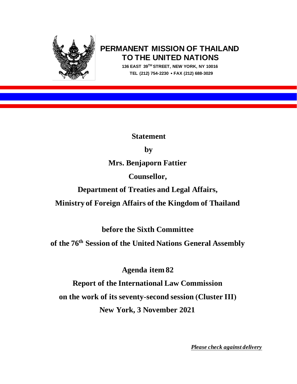

# **PERMANENT MISSION OF THAILAND TO THE UNITED NATIONS**

 **136 EAST 39TH STREET, NEW YORK, NY 10016 TEL (212) 754-2230 FAX (212) 688-3029**

**Statement** 

## **by**

**Mrs. Benjaporn Fattier**

**Counsellor,**

**Department of Treaties and Legal Affairs,**

**Ministry of Foreign Affairs of the Kingdom of Thailand**

**before the Sixth Committee**

**of the 76th Session of the United Nations General Assembly**

**Agenda item 82**

**Report of the International Law Commission on the work of its seventy-second session (Cluster III) New York, 3 November 2021**

*Please check against delivery*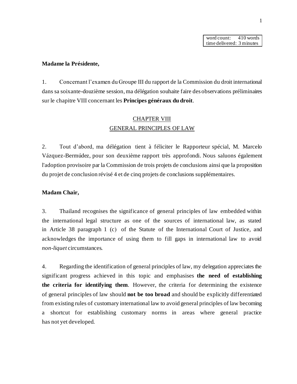word count: 410 words time delivered: 3 minutes

#### **Madame la Présidente,**

1. Concernant l'examen du Groupe III du rapport de la Commission du droit international dans sa soixante-douzième session, ma délégation souhaite faire des observations préliminaires sur le chapitre VIII concernant les **Principes généraux du droit**.

## CHAPTER VIII GENERAL PRINCIPLES OF LAW

2. Tout d'abord, ma délégation tient à féliciter le Rapporteur spécial, M. Marcelo Vázquez-Bermúdez, pour son deuxième rapport très approfondi. Nous saluons également l'adoption provisoire par la Commission de trois projets de conclusions ainsi que la proposition du projet de conclusion révisé 4 et de cinq projets de conclusions supplémentaires.

#### **Madam Chair,**

3. Thailand recognises the significance of general principles of law embedded within the international legal structure as one of the sources of international law, as stated in Article 38 paragraph 1 (c) of the Statute of the International Court of Justice, and acknowledges the importance of using them to fill gaps in international law to avoid *non-liquet* circumstances.

4. Regarding the identification of general principles of law, my delegation appreciates the significant progress achieved in this topic and emphasises **the need of establishing the criteria for identifying them**. However, the criteria for determining the existence of general principles of law should **not be too broad** and should be explicitly differentiated from existing rules of customary international law to avoid general principles of law becoming a shortcut for establishing customary norms in areas where general practice has not yet developed.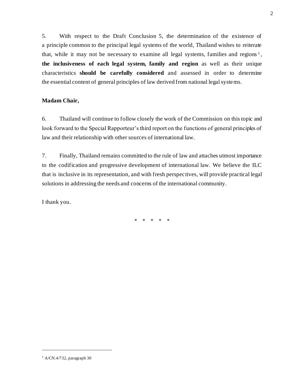5. With respect to the Draft Conclusion 5, the determination of the existence of a principle common to the principal legal systems of the world, Thailand wishes to reiterate that, while it may not be necessary to examine all legal systems, families and regions<sup>1</sup>, **the inclusiveness of each legal system, family and region** as well as their unique characteristics **should be carefully considered** and assessed in order to determine the essential content of general principles of law derived from national legal systems.

## **Madam Chair,**

6. Thailand will continue to follow closely the work of the Commission on this topic and look forward to the Special Rapporteur's third report on the functions of general principles of law and their relationship with other sources of international law.

7. Finally, Thailand remains committed to the rule of law and attaches utmost importance to the codification and progressive development of international law. We believe the ILC that is inclusive in its representation, and with fresh perspectives, will provide practical legal solutions in addressing the needs and concerns of the international community.

I thank you.

\* \* \* \* \*

<sup>1</sup> A/CN.4/732, paragraph 30